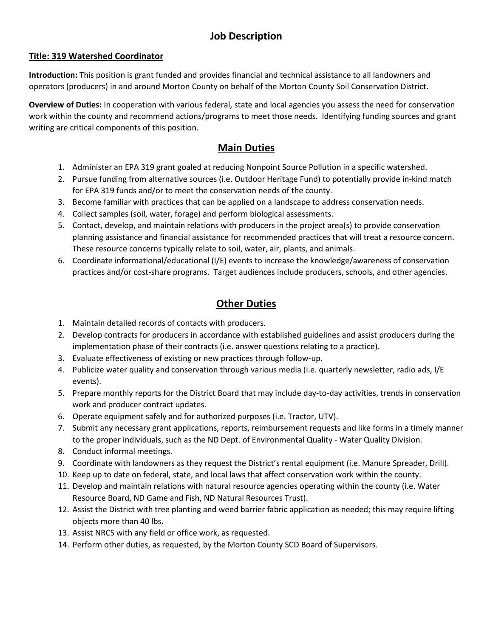## **Job Description**

#### **Title: 319 Watershed Coordinator**

**Introduction:** This position is grant funded and provides financial and technical assistance to all landowners and operators (producers) in and around Morton County on behalf of the Morton County Soil Conservation District.

**Overview of Duties:** In cooperation with various federal, state and local agencies you assess the need for conservation work within the county and recommend actions/programs to meet those needs. Identifying funding sources and grant writing are critical components of this position.

## **Main Duties**

- 1. Administer an EPA 319 grant goaled at reducing Nonpoint Source Pollution in a specific watershed.
- 2. Pursue funding from alternative sources (i.e. Outdoor Heritage Fund) to potentially provide in-kind match for EPA 319 funds and/or to meet the conservation needs of the county.
- 3. Become familiar with practices that can be applied on a landscape to address conservation needs.
- 4. Collect samples (soil, water, forage) and perform biological assessments.
- 5. Contact, develop, and maintain relations with producers in the project area(s) to provide conservation planning assistance and financial assistance for recommended practices that will treat a resource concern. These resource concerns typically relate to soil, water, air, plants, and animals.
- 6. Coordinate informational/educational (I/E) events to increase the knowledge/awareness of conservation practices and/or cost-share programs. Target audiences include producers, schools, and other agencies.

# **Other Duties**

- 1. Maintain detailed records of contacts with producers.
- 2. Develop contracts for producers in accordance with established guidelines and assist producers during the implementation phase of their contracts (i.e. answer questions relating to a practice).
- 3. Evaluate effectiveness of existing or new practices through follow-up.
- 4. Publicize water quality and conservation through various media (i.e. quarterly newsletter, radio ads, I/E events).
- 5. Prepare monthly reports for the District Board that may include day-to-day activities, trends in conservation work and producer contract updates.
- 6. Operate equipment safely and for authorized purposes (i.e. Tractor, UTV).
- 7. Submit any necessary grant applications, reports, reimbursement requests and like forms in a timely manner to the proper individuals, such as the ND Dept. of Environmental Quality - Water Quality Division.
- 8. Conduct informal meetings.
- 9. Coordinate with landowners as they request the District's rental equipment (i.e. Manure Spreader, Drill).
- 10. Keep up to date on federal, state, and local laws that affect conservation work within the county.
- 11. Develop and maintain relations with natural resource agencies operating within the county (i.e. Water Resource Board, ND Game and Fish, ND Natural Resources Trust).
- 12. Assist the District with tree planting and weed barrier fabric application as needed; this may require lifting objects more than 40 lbs.
- 13. Assist NRCS with any field or office work, as requested.
- 14. Perform other duties, as requested, by the Morton County SCD Board of Supervisors.